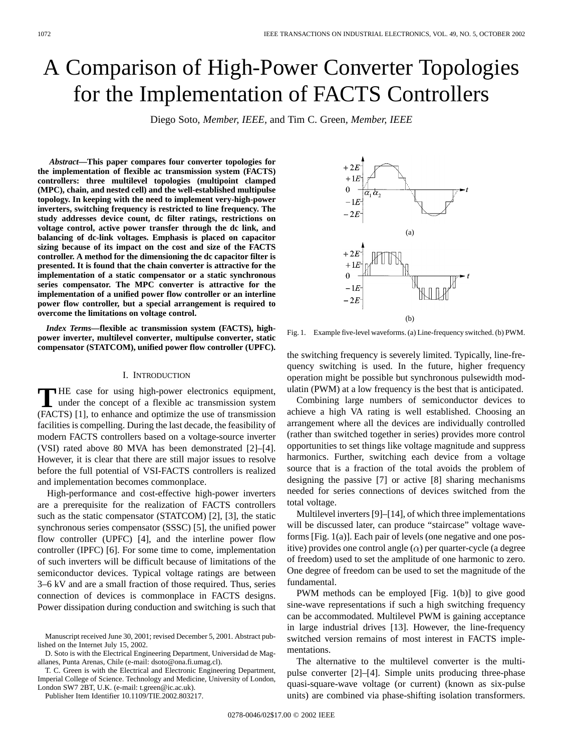# A Comparison of High-Power Converter Topologies for the Implementation of FACTS Controllers

Diego Soto*, Member, IEEE,* and Tim C. Green*, Member, IEEE*

*Abstract—***This paper compares four converter topologies for the implementation of flexible ac transmission system (FACTS) controllers: three multilevel topologies (multipoint clamped (MPC), chain, and nested cell) and the well-established multipulse topology. In keeping with the need to implement very-high-power inverters, switching frequency is restricted to line frequency. The study addresses device count, dc filter ratings, restrictions on voltage control, active power transfer through the dc link, and balancing of dc-link voltages. Emphasis is placed on capacitor sizing because of its impact on the cost and size of the FACTS controller. A method for the dimensioning the dc capacitor filter is presented. It is found that the chain converter is attractive for the implementation of a static compensator or a static synchronous series compensator. The MPC converter is attractive for the implementation of a unified power flow controller or an interline power flow controller, but a special arrangement is required to overcome the limitations on voltage control.**

*Index Terms—***flexible ac transmission system (FACTS), highpower inverter, multilevel converter, multipulse converter, static compensator (STATCOM), unified power flow controller (UPFC).**

## I. INTRODUCTION

**T** HE case for using high-power electronics equipment,<br>under the concept of a flexible ac transmission system (FACTS) [1], to enhance and optimize the use of transmission facilities is compelling. During the last decade, the feasibility of modern FACTS controllers based on a voltage-source inverter (VSI) rated above 80 MVA has been demonstrated [2]–[4]. However, it is clear that there are still major issues to resolve before the full potential of VSI-FACTS controllers is realized and implementation becomes commonplace.

High-performance and cost-effective high-power inverters are a prerequisite for the realization of FACTS controllers such as the static compensator (STATCOM) [2], [3], the static synchronous series compensator (SSSC) [5], the unified power flow controller (UPFC) [4], and the interline power flow controller (IPFC) [6]. For some time to come, implementation of such inverters will be difficult because of limitations of the semiconductor devices. Typical voltage ratings are between 3–6 kV and are a small fraction of those required. Thus, series connection of devices is commonplace in FACTS designs. Power dissipation during conduction and switching is such that

D. Soto is with the Electrical Engineering Department, Universidad de Magallanes, Punta Arenas, Chile (e-mail: dsoto@ona.fi.umag.cl).

T. C. Green is with the Electrical and Electronic Engineering Department, Imperial College of Science. Technology and Medicine, University of London, London SW7 2BT, U.K. (e-mail: t.green@ic.ac.uk).

Publisher Item Identifier 10.1109/TIE.2002.803217.

 $-1E$ – 2 F (a)  $-1E$ – 2E (b)

Fig. 1. Example five-level waveforms. (a) Line-frequency switched. (b) PWM.

the switching frequency is severely limited. Typically, line-frequency switching is used. In the future, higher frequency operation might be possible but synchronous pulsewidth modulatin (PWM) at a low frequency is the best that is anticipated.

Combining large numbers of semiconductor devices to achieve a high VA rating is well established. Choosing an arrangement where all the devices are individually controlled (rather than switched together in series) provides more control opportunities to set things like voltage magnitude and suppress harmonics. Further, switching each device from a voltage source that is a fraction of the total avoids the problem of designing the passive [7] or active [8] sharing mechanisms needed for series connections of devices switched from the total voltage.

Multilevel inverters [9]–[14], of which three implementations will be discussed later, can produce "staircase" voltage waveforms [Fig. 1(a)]. Each pair of levels (one negative and one positive) provides one control angle  $(\alpha)$  per quarter-cycle (a degree of freedom) used to set the amplitude of one harmonic to zero. One degree of freedom can be used to set the magnitude of the fundamental.

PWM methods can be employed [Fig. 1(b)] to give good sine-wave representations if such a high switching frequency can be accommodated. Multilevel PWM is gaining acceptance in large industrial drives [13]. However, the line-frequency switched version remains of most interest in FACTS implementations.

The alternative to the multilevel converter is the multipulse converter [2]–[4]. Simple units producing three-phase quasi-square-wave voltage (or current) (known as six-pulse units) are combined via phase-shifting isolation transformers.



Manuscript received June 30, 2001; revised December 5, 2001. Abstract published on the Internet July 15, 2002.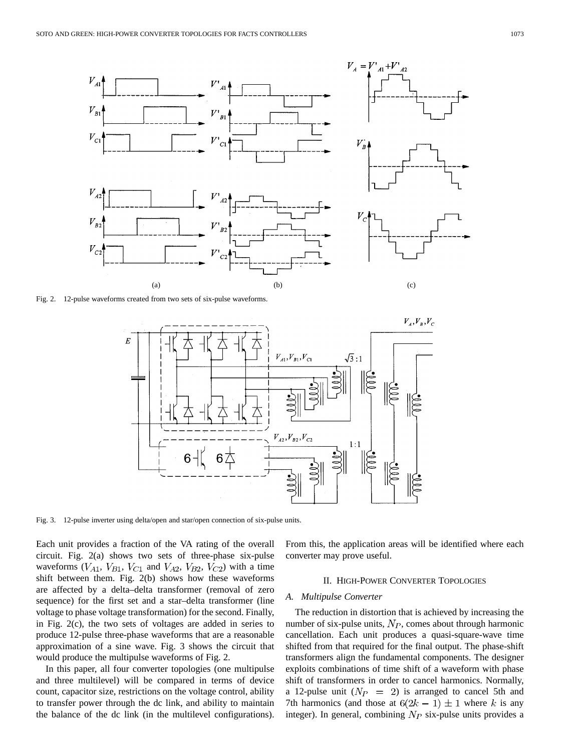

Fig. 2. 12-pulse waveforms created from two sets of six-pulse waveforms.



Fig. 3. 12-pulse inverter using delta/open and star/open connection of six-pulse units.

Each unit provides a fraction of the VA rating of the overall circuit. Fig. 2(a) shows two sets of three-phase six-pulse waveforms  $(V_{A1}, V_{B1}, V_{C1}$  and  $V_{A2}, V_{B2}, V_{C2})$  with a time shift between them. Fig. 2(b) shows how these waveforms are affected by a delta–delta transformer (removal of zero sequence) for the first set and a star–delta transformer (line voltage to phase voltage transformation) for the second. Finally, in Fig. 2(c), the two sets of voltages are added in series to produce 12-pulse three-phase waveforms that are a reasonable approximation of a sine wave. Fig. 3 shows the circuit that would produce the multipulse waveforms of Fig. 2.

In this paper, all four converter topologies (one multipulse and three multilevel) will be compared in terms of device count, capacitor size, restrictions on the voltage control, ability to transfer power through the dc link, and ability to maintain the balance of the dc link (in the multilevel configurations). From this, the application areas will be identified where each converter may prove useful.

# II. HIGH-POWER CONVERTER TOPOLOGIES

# *A. Multipulse Converter*

The reduction in distortion that is achieved by increasing the number of six-pulse units,  $N_P$ , comes about through harmonic cancellation. Each unit produces a quasi-square-wave time shifted from that required for the final output. The phase-shift transformers align the fundamental components. The designer exploits combinations of time shift of a waveform with phase shift of transformers in order to cancel harmonics. Normally, a 12-pulse unit  $(N_P = 2)$  is arranged to cancel 5th and 7th harmonics (and those at  $6(2k - 1) \pm 1$  where k is any integer). In general, combining  $N_P$  six-pulse units provides a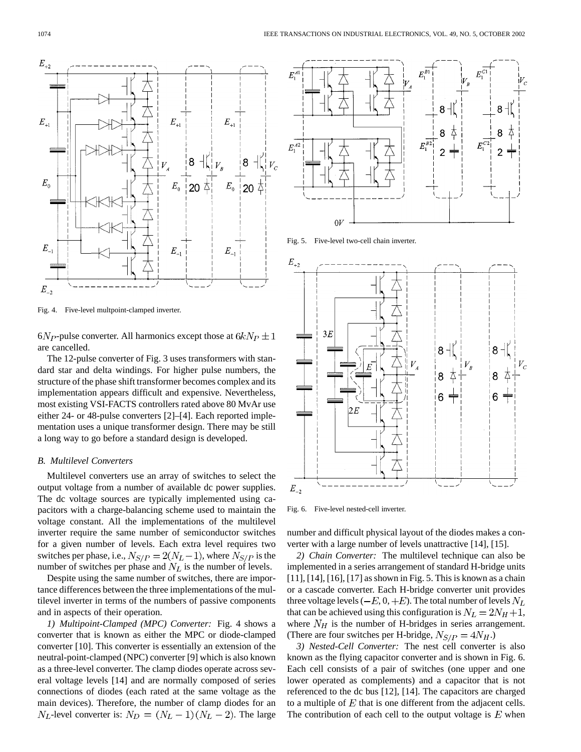$E_{\rm -i}$  $E_{\rm -1}$  $E_{-2}$ 

Fig. 4. Five-level multpoint-clamped inverter.

 $6N_P$ -pulse converter. All harmonics except those at  $6kN_P \pm 1$ are cancelled.

 $E_{+1}$ 

 $E_{-1}$ 

8

 $E_{+1}$ 

 $E_{0}$ 20

 $V_A$ 

8

The 12-pulse converter of Fig. 3 uses transformers with standard star and delta windings. For higher pulse numbers, the structure of the phase shift transformer becomes complex and its implementation appears difficult and expensive. Nevertheless, most existing VSI-FACTS controllers rated above 80 MvAr use either 24- or 48-pulse converters [2]–[4]. Each reported implementation uses a unique transformer design. There may be still a long way to go before a standard design is developed.

# *B. Multilevel Converters*

Multilevel converters use an array of switches to select the output voltage from a number of available dc power supplies. The dc voltage sources are typically implemented using capacitors with a charge-balancing scheme used to maintain the voltage constant. All the implementations of the multilevel inverter require the same number of semiconductor switches for a given number of levels. Each extra level requires two switches per phase, i.e.,  $N_{S/P} = 2(N_L - 1)$ , where  $N_{S/P}$  is the number of switches per phase and  $N_L$  is the number of levels.

Despite using the same number of switches, there are importance differences between the three implementations of the multilevel inverter in terms of the numbers of passive components and in aspects of their operation.

*1) Multipoint-Clamped (MPC) Converter:* Fig. 4 shows a converter that is known as either the MPC or diode-clamped converter [10]. This converter is essentially an extension of the neutral-point-clamped (NPC) converter [9] which is also known as a three-level converter. The clamp diodes operate across several voltage levels [14] and are normally composed of series connections of diodes (each rated at the same voltage as the main devices). Therefore, the number of clamp diodes for an  $N_L$ -level converter is:  $N_D = (N_L - 1)(N_L - 2)$ . The large



Fig. 5. Five-level two-cell chain inverter.



Fig. 6. Five-level nested-cell inverter.

number and difficult physical layout of the diodes makes a converter with a large number of levels unattractive [14], [15].

*2) Chain Converter:* The multilevel technique can also be implemented in a series arrangement of standard H-bridge units [11], [14], [16], [17] as shown in Fig. 5. This is known as a chain or a cascade converter. Each H-bridge converter unit provides three voltage levels  $(-E, 0, +E)$ . The total number of levels  $N_L$ that can be achieved using this configuration is  $N_L = 2N_H + 1$ , where  $N_H$  is the number of H-bridges in series arrangement. (There are four switches per H-bridge,  $N_{S/P} = 4N_H$ .)

*3) Nested-Cell Converter:* The nest cell converter is also known as the flying capacitor converter and is shown in Fig. 6. Each cell consists of a pair of switches (one upper and one lower operated as complements) and a capacitor that is not referenced to the dc bus [12], [14]. The capacitors are charged to a multiple of  $E$  that is one different from the adjacent cells. The contribution of each cell to the output voltage is  $E$  when

 $E_{\scriptscriptstyle +2}$ 

 $E_{+1}$ 

 $E_{0}$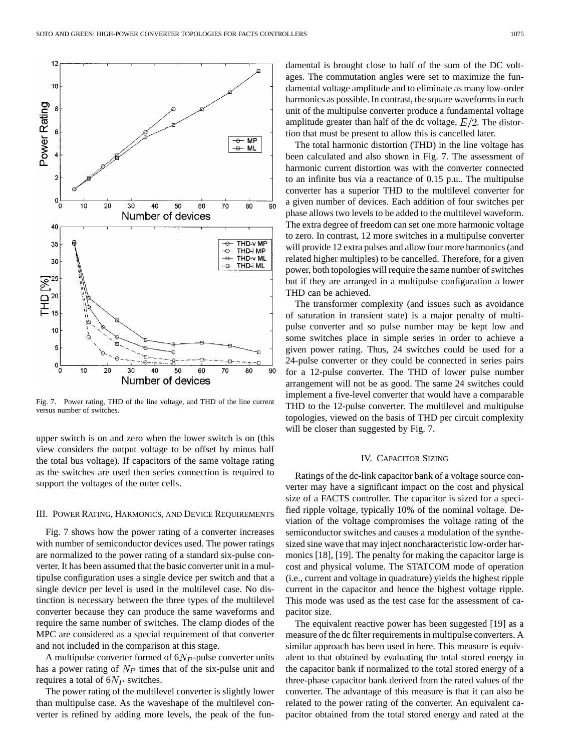

Fig. 7. Power rating, THD of the line voltage, and THD of the line current versus number of switches.

upper switch is on and zero when the lower switch is on (this view considers the output voltage to be offset by minus half the total bus voltage). If capacitors of the same voltage rating as the switches are used then series connection is required to support the voltages of the outer cells.

#### III. POWER RATING, HARMONICS, AND DEVICE REQUIREMENTS

Fig. 7 shows how the power rating of a converter increases with number of semiconductor devices used. The power ratings are normalized to the power rating of a standard six-pulse converter. It has been assumed that the basic converter unit in a multipulse configuration uses a single device per switch and that a single device per level is used in the multilevel case. No distinction is necessary between the three types of the multilevel converter because they can produce the same waveforms and require the same number of switches. The clamp diodes of the MPC are considered as a special requirement of that converter and not included in the comparison at this stage.

A multipulse converter formed of  $6N_P$ -pulse converter units has a power rating of  $N_P$  times that of the six-pulse unit and requires a total of  $6N_P$  switches.

The power rating of the multilevel converter is slightly lower than multipulse case. As the waveshape of the multilevel converter is refined by adding more levels, the peak of the fundamental is brought close to half of the sum of the DC voltages. The commutation angles were set to maximize the fundamental voltage amplitude and to eliminate as many low-order harmonics as possible. In contrast, the square waveforms in each unit of the multipulse converter produce a fundamental voltage amplitude greater than half of the dc voltage,  $E/2$ . The distortion that must be present to allow this is cancelled later.

The total harmonic distortion (THD) in the line voltage has been calculated and also shown in Fig. 7. The assessment of harmonic current distortion was with the converter connected to an infinite bus via a reactance of 0.15 p.u.. The multipulse converter has a superior THD to the multilevel converter for a given number of devices. Each addition of four switches per phase allows two levels to be added to the multilevel waveform. The extra degree of freedom can set one more harmonic voltage to zero. In contrast, 12 more switches in a multipulse converter will provide 12 extra pulses and allow four more harmonics (and related higher multiples) to be cancelled. Therefore, for a given power, both topologies will require the same number of switches but if they are arranged in a multipulse configuration a lower THD can be achieved.

The transformer complexity (and issues such as avoidance of saturation in transient state) is a major penalty of multipulse converter and so pulse number may be kept low and some switches place in simple series in order to achieve a given power rating. Thus, 24 switches could be used for a 24-pulse converter or they could be connected in series pairs for a 12-pulse converter. The THD of lower pulse number arrangement will not be as good. The same 24 switches could implement a five-level converter that would have a comparable THD to the 12-pulse converter. The multilevel and multipulse topologies, viewed on the basis of THD per circuit complexity will be closer than suggested by Fig. 7.

## IV. CAPACITOR SIZING

Ratings of the dc-link capacitor bank of a voltage source converter may have a significant impact on the cost and physical size of a FACTS controller. The capacitor is sized for a specified ripple voltage, typically 10% of the nominal voltage. Deviation of the voltage compromises the voltage rating of the semiconductor switches and causes a modulation of the synthesized sine wave that may inject noncharacteristic low-order harmonics [18], [19]. The penalty for making the capacitor large is cost and physical volume. The STATCOM mode of operation (i.e., current and voltage in quadrature) yields the highest ripple current in the capacitor and hence the highest voltage ripple. This mode was used as the test case for the assessment of capacitor size.

The equivalent reactive power has been suggested [19] as a measure of the dc filter requirements in multipulse converters. A similar approach has been used in here. This measure is equivalent to that obtained by evaluating the total stored energy in the capacitor bank if normalized to the total stored energy of a three-phase capacitor bank derived from the rated values of the converter. The advantage of this measure is that it can also be related to the power rating of the converter. An equivalent capacitor obtained from the total stored energy and rated at the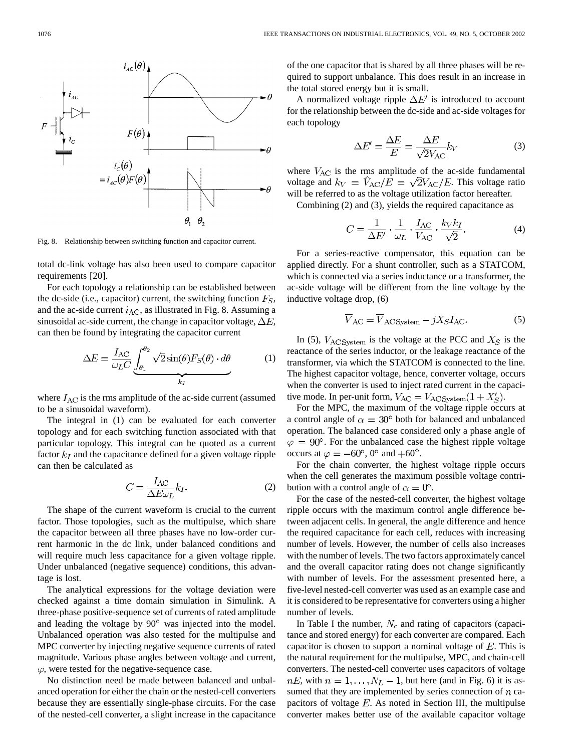

Fig. 8. Relationship between switching function and capacitor current.

total dc-link voltage has also been used to compare capacitor requirements [20].

For each topology a relationship can be established between the dc-side (i.e., capacitor) current, the switching function  $F<sub>S</sub>$ , and the ac-side current  $i_{AC}$ , as illustrated in Fig. 8. Assuming a sinusoidal ac-side current, the change in capacitor voltage,  $\Delta E$ , can then be found by integrating the capacitor current

$$
\Delta E = \frac{I_{\rm AC}}{\omega_L C} \underbrace{\int_{\theta_1}^{\theta_2} \sqrt{2} \sin(\theta) F_S(\theta) \cdot d\theta}_{k_I}
$$
 (1)

where  $I_{AC}$  is the rms amplitude of the ac-side current (assumed to be a sinusoidal waveform).

The integral in (1) can be evaluated for each converter topology and for each switching function associated with that particular topology. This integral can be quoted as a current factor  $k_I$  and the capacitance defined for a given voltage ripple can then be calculated as

$$
C = \frac{I_{\rm AC}}{\Delta E \omega_L} k_I.
$$
 (2)

The shape of the current waveform is crucial to the current factor. Those topologies, such as the multipulse, which share the capacitor between all three phases have no low-order current harmonic in the dc link, under balanced conditions and will require much less capacitance for a given voltage ripple. Under unbalanced (negative sequence) conditions, this advantage is lost.

The analytical expressions for the voltage deviation were checked against a time domain simulation in Simulink. A three-phase positive-sequence set of currents of rated amplitude and leading the voltage by  $90^{\circ}$  was injected into the model. Unbalanced operation was also tested for the multipulse and MPC converter by injecting negative sequence currents of rated magnitude. Various phase angles between voltage and current,  $\varphi$ , were tested for the negative-sequence case.

No distinction need be made between balanced and unbalanced operation for either the chain or the nested-cell converters because they are essentially single-phase circuits. For the case of the nested-cell converter, a slight increase in the capacitance of the one capacitor that is shared by all three phases will be required to support unbalance. This does result in an increase in the total stored energy but it is small.

A normalized voltage ripple  $\Delta E'$  is introduced to account for the relationship between the dc-side and ac-side voltages for each topology

$$
\Delta E' = \frac{\Delta E}{E} = \frac{\Delta E}{\sqrt{2}V_{AC}}k_V
$$
\n(3)

where  $V_{AC}$  is the rms amplitude of the ac-side fundamental voltage and  $k_V = V_{AC}/E = \sqrt{2}V_{AC}/E$ . This voltage ratio will be referred to as the voltage utilization factor hereafter.

Combining (2) and (3), yields the required capacitance as

$$
C = \frac{1}{\Delta E'} \cdot \frac{1}{\omega_L} \cdot \frac{I_{AC}}{V_{AC}} \cdot \frac{k_V k_I}{\sqrt{2}}.
$$
 (4)

For a series-reactive compensator, this equation can be applied directly. For a shunt controller, such as a STATCOM, which is connected via a series inductance or a transformer, the ac-side voltage will be different from the line voltage by the inductive voltage drop, (6)

$$
\overline{V}_{\rm AC} = \overline{V}_{\rm AC\,System} - jX_S I_{\rm AC}.\tag{5}
$$

In (5),  $V_{\text{ACSystem}}$  is the voltage at the PCC and  $X_S$  is the reactance of the series inductor, or the leakage reactance of the transformer, via which the STATCOM is connected to the line. The highest capacitor voltage, hence, converter voltage, occurs when the converter is used to inject rated current in the capacitive mode. In per-unit form,  $V_{AC} = V_{AC}S_{\text{system}}(1 + X'_{S}).$ 

For the MPC, the maximum of the voltage ripple occurs at a control angle of  $\alpha = 30^{\circ}$  both for balanced and unbalanced operation. The balanced case considered only a phase angle of  $\varphi = 90^{\circ}$ . For the unbalanced case the highest ripple voltage occurs at  $\varphi = -60^{\circ}$ ,  $0^{\circ}$  and  $+60^{\circ}$ .

For the chain converter, the highest voltage ripple occurs when the cell generates the maximum possible voltage contribution with a control angle of  $\alpha = 0^{\circ}$ .

For the case of the nested-cell converter, the highest voltage ripple occurs with the maximum control angle difference between adjacent cells. In general, the angle difference and hence the required capacitance for each cell, reduces with increasing number of levels. However, the number of cells also increases with the number of levels. The two factors approximately cancel and the overall capacitor rating does not change significantly with number of levels. For the assessment presented here, a five-level nested-cell converter was used as an example case and it is considered to be representative for converters using a higher number of levels.

In Table I the number,  $N_c$  and rating of capacitors (capacitance and stored energy) for each converter are compared. Each capacitor is chosen to support a nominal voltage of  $E$ . This is the natural requirement for the multipulse, MPC, and chain-cell converters. The nested-cell converter uses capacitors of voltage  $nE$ , with  $n = 1, ..., N<sub>L</sub> - 1$ , but here (and in Fig. 6) it is assumed that they are implemented by series connection of  $n$  capacitors of voltage  $E$ . As noted in Section III, the multipulse converter makes better use of the available capacitor voltage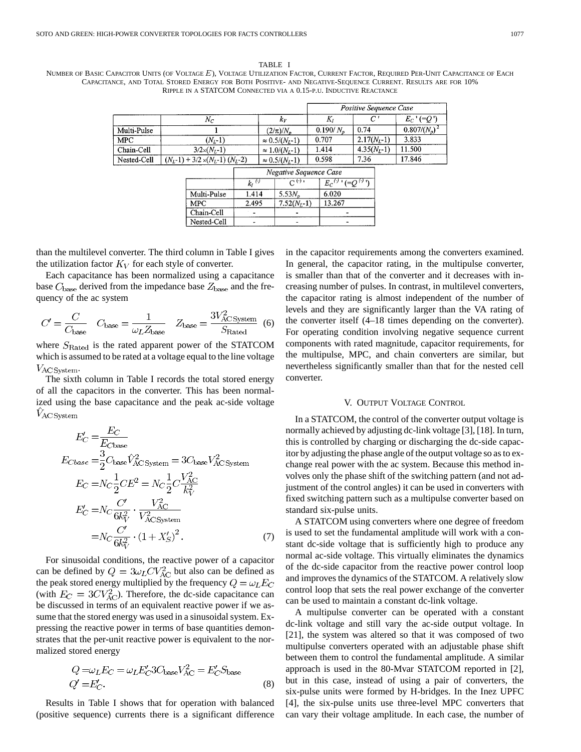TABLE I NUMBER OF BASIC CAPACITOR UNITS (OF VOLTAGE E), VOLTAGE UTILIZATION FACTOR, CURRENT FACTOR, REQUIRED PER-UNIT CAPACITANCE OF EACH CAPACITANCE, AND TOTAL STORED ENERGY FOR BOTH POSITIVE- AND NEGATIVE-SEQUENCE CURRENT. RESULTS ARE FOR 10% RIPPLE IN A STATCOM CONNECTED VIA A 0.15-P.U. INDUCTIVE REACTANCE

|             |                                        |                         | Positive Sequence Case |               |               |
|-------------|----------------------------------------|-------------------------|------------------------|---------------|---------------|
|             | $N_C$                                  | κv                      | K,                     | С             | $E_C$ '(=Q')  |
| Multi-Pulse |                                        | $(2/\pi)/N_n$           | $0.190/N_n$            | 0.74          | $0.807/(N_p)$ |
| <b>MPC</b>  | $(N_{t-1})$                            | $\approx 0.5/(N_L - 1)$ | 0.707                  | $2.17(NL-1)$  | 3.833         |
| Chain-Cell  | $3/2\times(NI-1)$                      | $\approx 1.0/(N_L - 1)$ | 1.414                  | $4.35(N_L-1)$ | 11.500        |
| Nested-Cell | $(N_L-1) + 3/2 \times (N_L-1) (N_L-2)$ | $\approx 0.5/(N_L - 1)$ | 0.598                  | 7.36          | 17.846        |

|             | Negative Sequence Case |              |                                   |  |
|-------------|------------------------|--------------|-----------------------------------|--|
|             | $k_I$ <sup>(7)</sup>   | ┌ ( ) ,      | $=$ $O^{(\gamma)}$<br>$E_C^{(7)}$ |  |
| Multi-Pulse | 1.414                  | $5.53N_{n}$  | 6.020                             |  |
| <b>MPC</b>  | 2.495                  | $7.52(NL-1)$ | 13.267                            |  |
| Chain-Cell  |                        |              |                                   |  |
| Nested-Cell |                        |              |                                   |  |

than the multilevel converter. The third column in Table I gives the utilization factor  $K_V$  for each style of converter.

Each capacitance has been normalized using a capacitance base  $C_{base}$  derived from the impedance base  $Z_{base}$  and the frequency of the ac system

$$
C' = \frac{C}{C_{\text{base}}} \quad C_{\text{base}} = \frac{1}{\omega_L Z_{\text{base}}} \quad Z_{\text{base}} = \frac{3V_{\text{ACSystem}}^2}{S_{\text{Rate}}} \quad (6)
$$

where  $S_{\text{Rated}}$  is the rated apparent power of the STATCOM which is assumed to be rated at a voltage equal to the line voltage  $V_{\text{AC}System}$ .

The sixth column in Table I records the total stored energy of all the capacitors in the converter. This has been normalized using the base capacitance and the peak ac-side voltage  $V_{\text{AC}System}$ 

$$
E_C' = \frac{E_C}{E_{\text{Chase}}} \nE_{\text{Chase}} = \frac{3}{2} C_{\text{base}} \hat{V}_{\text{AC System}}^2 = 3 C_{\text{base}} V_{\text{AC System}}^2 \nE_C = N_C \frac{1}{2} C E^2 = N_C \frac{1}{2} C \frac{V_{\text{AC}}^2}{k_V^2} \nE_C' = N_C \frac{C'}{6 k_V^2} \cdot \frac{V_{\text{AC}}^2}{V_{\text{AC System}}^2} \n= N_C \frac{C'}{6 k_V^2} \cdot (1 + X_S')^2.
$$
\n(7)

For sinusoidal conditions, the reactive power of a capacitor can be defined by  $Q = 3\omega_L CV_{AC}^2$  but also can be defined as the peak stored energy multiplied by the frequency  $Q=\omega_L E_C$ (with  $E_C = 3CV_{AC}^2$ ). Therefore, the dc-side capacitance can be discussed in terms of an equivalent reactive power if we assume that the stored energy was used in a sinusoidal system. Expressing the reactive power in terms of base quantities demonstrates that the per-unit reactive power is equivalent to the normalized stored energy

$$
Q = \omega_L E_C = \omega_L E'_C 3 C_{\text{base}} V_{\text{AC}}^2 = E'_C S_{\text{base}}
$$
  
Q' = E'\_C. (8)

Results in Table I shows that for operation with balanced (positive sequence) currents there is a significant difference in the capacitor requirements among the converters examined. In general, the capacitor rating, in the multipulse converter, is smaller than that of the converter and it decreases with increasing number of pulses. In contrast, in multilevel converters, the capacitor rating is almost independent of the number of levels and they are significantly larger than the VA rating of the converter itself (4–18 times depending on the converter). For operating condition involving negative sequence current components with rated magnitude, capacitor requirements, for the multipulse, MPC, and chain converters are similar, but nevertheless significantly smaller than that for the nested cell converter.

#### V. OUTPUT VOLTAGE CONTROL

In a STATCOM, the control of the converter output voltage is normally achieved by adjusting dc-link voltage [3], [18]. In turn, this is controlled by charging or discharging the dc-side capacitor by adjusting the phase angle of the output voltage so as to exchange real power with the ac system. Because this method involves only the phase shift of the switching pattern (and not adjustment of the control angles) it can be used in converters with fixed switching pattern such as a multipulse converter based on standard six-pulse units.

A STATCOM using converters where one degree of freedom is used to set the fundamental amplitude will work with a constant dc-side voltage that is sufficiently high to produce any normal ac-side voltage. This virtually eliminates the dynamics of the dc-side capacitor from the reactive power control loop and improves the dynamics of the STATCOM. A relatively slow control loop that sets the real power exchange of the converter can be used to maintain a constant dc-link voltage.

A multipulse converter can be operated with a constant dc-link voltage and still vary the ac-side output voltage. In [21], the system was altered so that it was composed of two multipulse converters operated with an adjustable phase shift between them to control the fundamental amplitude. A similar approach is used in the 80-Mvar STATCOM reported in [2], but in this case, instead of using a pair of converters, the six-pulse units were formed by H-bridges. In the Inez UPFC [4], the six-pulse units use three-level MPC converters that can vary their voltage amplitude. In each case, the number of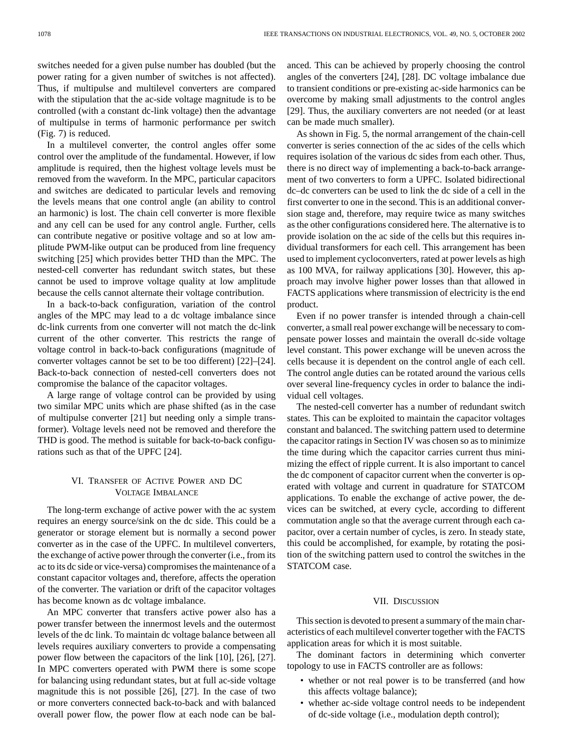switches needed for a given pulse number has doubled (but the power rating for a given number of switches is not affected). Thus, if multipulse and multilevel converters are compared with the stipulation that the ac-side voltage magnitude is to be controlled (with a constant dc-link voltage) then the advantage of multipulse in terms of harmonic performance per switch (Fig. 7) is reduced.

In a multilevel converter, the control angles offer some control over the amplitude of the fundamental. However, if low amplitude is required, then the highest voltage levels must be removed from the waveform. In the MPC, particular capacitors and switches are dedicated to particular levels and removing the levels means that one control angle (an ability to control an harmonic) is lost. The chain cell converter is more flexible and any cell can be used for any control angle. Further, cells can contribute negative or positive voltage and so at low amplitude PWM-like output can be produced from line frequency switching [25] which provides better THD than the MPC. The nested-cell converter has redundant switch states, but these cannot be used to improve voltage quality at low amplitude because the cells cannot alternate their voltage contribution.

In a back-to-back configuration, variation of the control angles of the MPC may lead to a dc voltage imbalance since dc-link currents from one converter will not match the dc-link current of the other converter. This restricts the range of voltage control in back-to-back configurations (magnitude of converter voltages cannot be set to be too different) [22]–[24]. Back-to-back connection of nested-cell converters does not compromise the balance of the capacitor voltages.

A large range of voltage control can be provided by using two similar MPC units which are phase shifted (as in the case of multipulse converter [21] but needing only a simple transformer). Voltage levels need not be removed and therefore the THD is good. The method is suitable for back-to-back configurations such as that of the UPFC [24].

# VI. TRANSFER OF ACTIVE POWER AND DC VOLTAGE IMBALANCE

The long-term exchange of active power with the ac system requires an energy source/sink on the dc side. This could be a generator or storage element but is normally a second power converter as in the case of the UPFC. In multilevel converters, the exchange of active power through the converter (i.e., from its ac to its dc side or vice-versa) compromises the maintenance of a constant capacitor voltages and, therefore, affects the operation of the converter. The variation or drift of the capacitor voltages has become known as dc voltage imbalance.

An MPC converter that transfers active power also has a power transfer between the innermost levels and the outermost levels of the dc link. To maintain dc voltage balance between all levels requires auxiliary converters to provide a compensating power flow between the capacitors of the link [10], [26], [27]. In MPC converters operated with PWM there is some scope for balancing using redundant states, but at full ac-side voltage magnitude this is not possible [26], [27]. In the case of two or more converters connected back-to-back and with balanced overall power flow, the power flow at each node can be balanced. This can be achieved by properly choosing the control angles of the converters [24], [28]. DC voltage imbalance due to transient conditions or pre-existing ac-side harmonics can be overcome by making small adjustments to the control angles [29]. Thus, the auxiliary converters are not needed (or at least can be made much smaller).

As shown in Fig. 5, the normal arrangement of the chain-cell converter is series connection of the ac sides of the cells which requires isolation of the various dc sides from each other. Thus, there is no direct way of implementing a back-to-back arrangement of two converters to form a UPFC. Isolated bidirectional dc–dc converters can be used to link the dc side of a cell in the first converter to one in the second. This is an additional conversion stage and, therefore, may require twice as many switches as the other configurations considered here. The alternative is to provide isolation on the ac side of the cells but this requires individual transformers for each cell. This arrangement has been used to implement cycloconverters, rated at power levels as high as 100 MVA, for railway applications [30]. However, this approach may involve higher power losses than that allowed in FACTS applications where transmission of electricity is the end product.

Even if no power transfer is intended through a chain-cell converter, a small real power exchange will be necessary to compensate power losses and maintain the overall dc-side voltage level constant. This power exchange will be uneven across the cells because it is dependent on the control angle of each cell. The control angle duties can be rotated around the various cells over several line-frequency cycles in order to balance the individual cell voltages.

The nested-cell converter has a number of redundant switch states. This can be exploited to maintain the capacitor voltages constant and balanced. The switching pattern used to determine the capacitor ratings in Section IV was chosen so as to minimize the time during which the capacitor carries current thus minimizing the effect of ripple current. It is also important to cancel the dc component of capacitor current when the converter is operated with voltage and current in quadrature for STATCOM applications. To enable the exchange of active power, the devices can be switched, at every cycle, according to different commutation angle so that the average current through each capacitor, over a certain number of cycles, is zero. In steady state, this could be accomplished, for example, by rotating the position of the switching pattern used to control the switches in the STATCOM case.

# VII. DISCUSSION

This section is devoted to present a summary of the main characteristics of each multilevel converter together with the FACTS application areas for which it is most suitable.

The dominant factors in determining which converter topology to use in FACTS controller are as follows:

- whether or not real power is to be transferred (and how this affects voltage balance);
- whether ac-side voltage control needs to be independent of dc-side voltage (i.e., modulation depth control);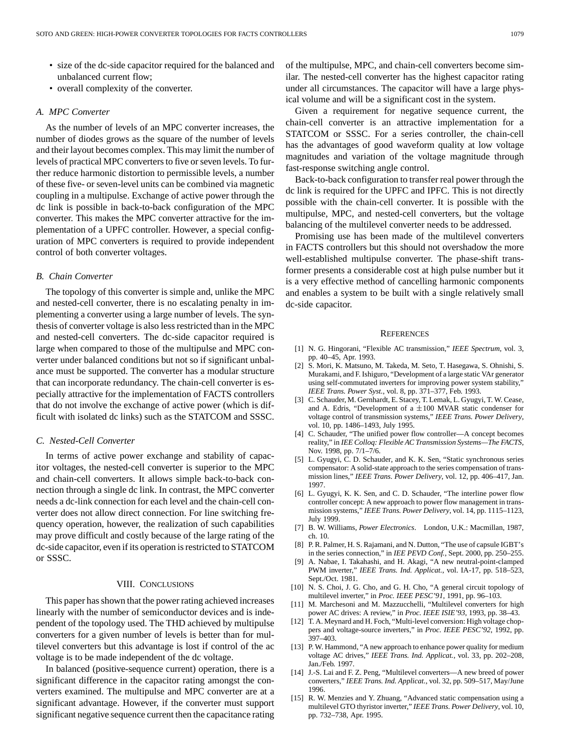- size of the dc-side capacitor required for the balanced and unbalanced current flow;
- overall complexity of the converter.

## *A. MPC Converter*

As the number of levels of an MPC converter increases, the number of diodes grows as the square of the number of levels and their layout becomes complex. This may limit the number of levels of practical MPC converters to five or seven levels. To further reduce harmonic distortion to permissible levels, a number of these five- or seven-level units can be combined via magnetic coupling in a multipulse. Exchange of active power through the dc link is possible in back-to-back configuration of the MPC converter. This makes the MPC converter attractive for the implementation of a UPFC controller. However, a special configuration of MPC converters is required to provide independent control of both converter voltages.

## *B. Chain Converter*

The topology of this converter is simple and, unlike the MPC and nested-cell converter, there is no escalating penalty in implementing a converter using a large number of levels. The synthesis of converter voltage is also less restricted than in the MPC and nested-cell converters. The dc-side capacitor required is large when compared to those of the multipulse and MPC converter under balanced conditions but not so if significant unbalance must be supported. The converter has a modular structure that can incorporate redundancy. The chain-cell converter is especially attractive for the implementation of FACTS controllers that do not involve the exchange of active power (which is difficult with isolated dc links) such as the STATCOM and SSSC.

#### *C. Nested-Cell Converter*

In terms of active power exchange and stability of capacitor voltages, the nested-cell converter is superior to the MPC and chain-cell converters. It allows simple back-to-back connection through a single dc link. In contrast, the MPC converter needs a dc-link connection for each level and the chain-cell converter does not allow direct connection. For line switching frequency operation, however, the realization of such capabilities may prove difficult and costly because of the large rating of the dc-side capacitor, even if its operation is restricted to STATCOM or SSSC.

# VIII. CONCLUSIONS

This paper has shown that the power rating achieved increases linearly with the number of semiconductor devices and is independent of the topology used. The THD achieved by multipulse converters for a given number of levels is better than for multilevel converters but this advantage is lost if control of the ac voltage is to be made independent of the dc voltage.

In balanced (positive-sequence current) operation, there is a significant difference in the capacitor rating amongst the converters examined. The multipulse and MPC converter are at a significant advantage. However, if the converter must support significant negative sequence current then the capacitance rating

of the multipulse, MPC, and chain-cell converters become similar. The nested-cell converter has the highest capacitor rating under all circumstances. The capacitor will have a large physical volume and will be a significant cost in the system.

Given a requirement for negative sequence current, the chain-cell converter is an attractive implementation for a STATCOM or SSSC. For a series controller, the chain-cell has the advantages of good waveform quality at low voltage magnitudes and variation of the voltage magnitude through fast-response switching angle control.

Back-to-back configuration to transfer real power through the dc link is required for the UPFC and IPFC. This is not directly possible with the chain-cell converter. It is possible with the multipulse, MPC, and nested-cell converters, but the voltage balancing of the multilevel converter needs to be addressed.

Promising use has been made of the multilevel converters in FACTS controllers but this should not overshadow the more well-established multipulse converter. The phase-shift transformer presents a considerable cost at high pulse number but it is a very effective method of cancelling harmonic components and enables a system to be built with a single relatively small dc-side capacitor.

## **REFERENCES**

- [1] N. G. Hingorani, "Flexible AC transmission," *IEEE Spectrum*, vol. 3, pp. 40–45, Apr. 1993.
- [2] S. Mori, K. Matsuno, M. Takeda, M. Seto, T. Hasegawa, S. Ohnishi, S. Murakami, and F. Ishiguro, "Development of a large static VAr generator using self-commutated inverters for improving power system stability," *IEEE Trans. Power Syst.*, vol. 8, pp. 371–377, Feb. 1993.
- [3] C. Schauder, M. Gernhardt, E. Stacey, T. Lemak, L. Gyugyi, T. W. Cease, and A. Edris, "Development of a  $\pm 100$  MVAR static condenser for voltage control of transmission systems," *IEEE Trans. Power Delivery*, vol. 10, pp. 1486–1493, July 1995.
- [4] C. Schauder, "The unified power flow controller—A concept becomes reality," in *IEE Colloq: Flexible AC Transmission Systems—The FACTS*, Nov. 1998, pp. 7/1–7/6.
- [5] L. Gyugyi, C. D. Schauder, and K. K. Sen, "Static synchronous series compensator: A solid-state approach to the series compensation of transmission lines," *IEEE Trans. Power Delivery*, vol. 12, pp. 406–417, Jan. 1997.
- [6] L. Gyugyi, K. K. Sen, and C. D. Schauder, "The interline power flow controller concept: A new approach to power flow management in transmission systems," *IEEE Trans. Power Delivery*, vol. 14, pp. 1115–1123, July 1999.
- [7] B. W. Williams, *Power Electronics*. London, U.K.: Macmillan, 1987, ch. 10.
- [8] P. R. Palmer, H. S. Rajamani, and N. Dutton, "The use of capsule IGBT's in the series connection," in *IEE PEVD Conf.*, Sept. 2000, pp. 250–255.
- [9] A. Nabae, I. Takahashi, and H. Akagi, "A new neutral-point-clamped PWM inverter," *IEEE Trans. Ind. Applicat.*, vol. IA-17, pp. 518–523, Sept./Oct. 1981.
- [10] N. S. Choi, J. G. Cho, and G. H. Cho, "A general circuit topology of multilevel inverter," in *Proc. IEEE PESC'91*, 1991, pp. 96–103.
- [11] M. Marchesoni and M. Mazzucchelli, "Multilevel converters for high power AC drives: A review," in *Proc. IEEE ISIE'93*, 1993, pp. 38–43.
- [12] T. A. Meynard and H. Foch, "Multi-level conversion: High voltage choppers and voltage-source inverters," in *Proc. IEEE PESC'92*, 1992, pp. 397–403.
- [13] P. W. Hammond, "A new approach to enhance power quality for medium voltage AC drives," *IEEE Trans. Ind. Applicat.*, vol. 33, pp. 202–208, Jan./Feb. 1997.
- [14] J.-S. Lai and F. Z. Peng, "Multilevel converters-A new breed of power converters," *IEEE Trans. Ind. Applicat.*, vol. 32, pp. 509–517, May/June 1996.
- [15] R. W. Menzies and Y. Zhuang, "Advanced static compensation using a multilevel GTO thyristor inverter," *IEEE Trans. Power Delivery*, vol. 10, pp. 732–738, Apr. 1995.